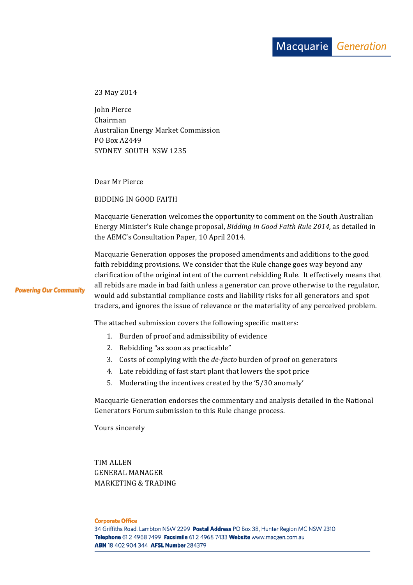23 May 2014

John Pierce Chairman Australian Energy Market Commission PO Box A2449 SYDNEY SOUTH NSW 1235

Dear Mr Pierce

BIDDING IN GOOD FAITH

Macquarie Generation welcomes the opportunity to comment on the South Australian Energy Minister's Rule change proposal, *Bidding in Good Faith Rule 2014*, as detailed in the AEMC's Consultation Paper, 10 April 2014.

Macquarie Generation opposes the proposed amendments and additions to the good faith rebidding provisions. We consider that the Rule change goes way beyond any clarification of the original intent of the current rebidding Rule. It effectively means that all rebids are made in bad faith unless a generator can prove otherwise to the regulator, would add substantial compliance costs and liability risks for all generators and spot traders, and ignores the issue of relevance or the materiality of any perceived problem.

The attached submission covers the following specific matters:

- 1. Burden of proof and admissibility of evidence
- 2. Rebidding "as soon as practicable"
- 3. Costs of complying with the *de-facto* burden of proof on generators
- 4. Late rebidding of fast start plant that lowers the spot price
- 5. Moderating the incentives created by the '5/30 anomaly'

Macquarie Generation endorses the commentary and analysis detailed in the National Generators Forum submission to this Rule change process.

Yours sincerely

TIM ALLEN GENERAL MANAGER MARKETING & TRADING

**Corporate Office** 

**Powering Our Community**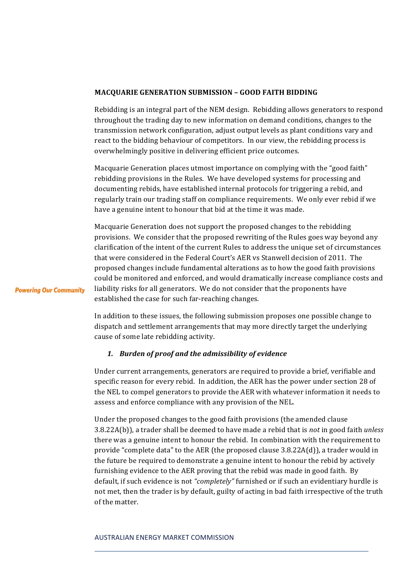## **MACQUARIE GENERATION SUBMISSION - GOOD FAITH BIDDING**

Rebidding is an integral part of the NEM design. Rebidding allows generators to respond throughout the trading day to new information on demand conditions, changes to the transmission network configuration, adjust output levels as plant conditions vary and react to the bidding behaviour of competitors. In our view, the rebidding process is overwhelmingly positive in delivering efficient price outcomes.

Macquarie Generation places utmost importance on complying with the "good faith" rebidding provisions in the Rules. We have developed systems for processing and documenting rebids, have established internal protocols for triggering a rebid, and regularly train our trading staff on compliance requirements. We only ever rebid if we have a genuine intent to honour that bid at the time it was made.

Macquarie Generation does not support the proposed changes to the rebidding provisions. We consider that the proposed rewriting of the Rules goes way beyond any clarification of the intent of the current Rules to address the unique set of circumstances that were considered in the Federal Court's AER vs Stanwell decision of 2011. The proposed changes include fundamental alterations as to how the good faith provisions could be monitored and enforced, and would dramatically increase compliance costs and liability risks for all generators. We do not consider that the proponents have established the case for such far-reaching changes.

In addition to these issues, the following submission proposes one possible change to dispatch and settlement arrangements that may more directly target the underlying cause of some late rebidding activity.

# *1. Burden of proof and the admissibility of evidence*

**Powering Our Community** 

Under current arrangements, generators are required to provide a brief, verifiable and specific reason for every rebid. In addition, the AER has the power under section 28 of the NEL to compel generators to provide the AER with whatever information it needs to assess and enforce compliance with any provision of the NEL.

Under the proposed changes to the good faith provisions (the amended clause 3.8.22A(b)), a trader shall be deemed to have made a rebid that is *not* in good faith *unless* there was a genuine intent to honour the rebid. In combination with the requirement to provide "complete data" to the AER (the proposed clause  $3.8.22A(d)$ ), a trader would in the future be required to demonstrate a genuine intent to honour the rebid by actively furnishing evidence to the AER proving that the rebid was made in good faith. By default, if such evidence is not "completely" furnished or if such an evidentiary hurdle is not met, then the trader is by default, guilty of acting in bad faith irrespective of the truth of the matter.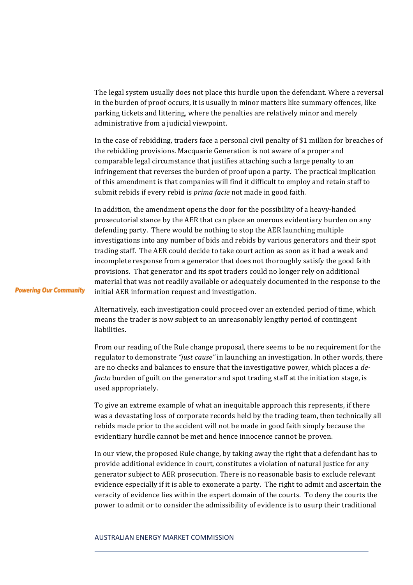The legal system usually does not place this hurdle upon the defendant. Where a reversal in the burden of proof occurs, it is usually in minor matters like summary offences, like parking tickets and littering, where the penalties are relatively minor and merely administrative from a judicial viewpoint.

In the case of rebidding, traders face a personal civil penalty of \$1 million for breaches of the rebidding provisions. Macquarie Generation is not aware of a proper and comparable legal circumstance that justifies attaching such a large penalty to an infringement that reverses the burden of proof upon a party. The practical implication of this amendment is that companies will find it difficult to employ and retain staff to submit rebids if every rebid is *prima facie* not made in good faith.

In addition, the amendment opens the door for the possibility of a heavy-handed prosecutorial stance by the AER that can place an onerous evidentiary burden on any defending party. There would be nothing to stop the AER launching multiple investigations into any number of bids and rebids by various generators and their spot trading staff. The AER could decide to take court action as soon as it had a weak and incomplete response from a generator that does not thoroughly satisfy the good faith provisions. That generator and its spot traders could no longer rely on additional material that was not readily available or adequately documented in the response to the initial AER information request and investigation.

**Powering Our Community** 

Alternatively, each investigation could proceed over an extended period of time, which means the trader is now subject to an unreasonably lengthy period of contingent liabilities.

From our reading of the Rule change proposal, there seems to be no requirement for the regulator to demonstrate "*just cause*" in launching an investigation. In other words, there are no checks and balances to ensure that the investigative power, which places a *defacto* burden of guilt on the generator and spot trading staff at the initiation stage, is used appropriately.

To give an extreme example of what an inequitable approach this represents, if there was a devastating loss of corporate records held by the trading team, then technically all rebids made prior to the accident will not be made in good faith simply because the evidentiary hurdle cannot be met and hence innocence cannot be proven.

In our view, the proposed Rule change, by taking away the right that a defendant has to provide additional evidence in court, constitutes a violation of natural justice for any generator subject to AER prosecution. There is no reasonable basis to exclude relevant evidence especially if it is able to exonerate a party. The right to admit and ascertain the veracity of evidence lies within the expert domain of the courts. To deny the courts the power to admit or to consider the admissibility of evidence is to usurp their traditional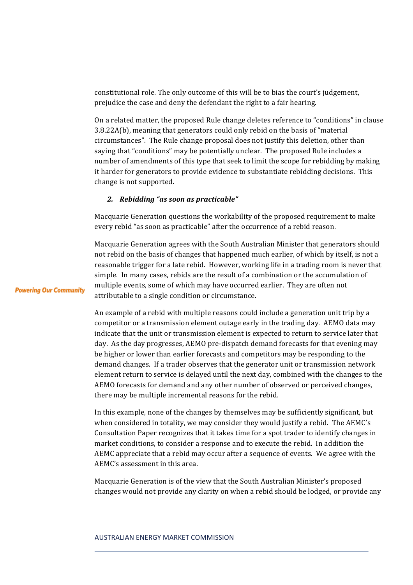constitutional role. The only outcome of this will be to bias the court's judgement, prejudice the case and deny the defendant the right to a fair hearing.

On a related matter, the proposed Rule change deletes reference to "conditions" in clause 3.8.22A(b), meaning that generators could only rebid on the basis of "material circumstances". The Rule change proposal does not justify this deletion, other than saying that "conditions" may be potentially unclear. The proposed Rule includes a number of amendments of this type that seek to limit the scope for rebidding by making it harder for generators to provide evidence to substantiate rebidding decisions. This change is not supported.

## *2. Rebidding "as soon as practicable"*

Macquarie Generation questions the workability of the proposed requirement to make every rebid "as soon as practicable" after the occurrence of a rebid reason.

Macquarie Generation agrees with the South Australian Minister that generators should not rebid on the basis of changes that happened much earlier, of which by itself, is not a reasonable trigger for a late rebid. However, working life in a trading room is never that simple. In many cases, rebids are the result of a combination or the accumulation of multiple events, some of which may have occurred earlier. They are often not attributable to a single condition or circumstance.

An example of a rebid with multiple reasons could include a generation unit trip by a competitor or a transmission element outage early in the trading day. AEMO data may indicate that the unit or transmission element is expected to return to service later that day. As the day progresses, AEMO pre-dispatch demand forecasts for that evening may be higher or lower than earlier forecasts and competitors may be responding to the demand changes. If a trader observes that the generator unit or transmission network element return to service is delayed until the next day, combined with the changes to the AEMO forecasts for demand and any other number of observed or perceived changes, there may be multiple incremental reasons for the rebid.

In this example, none of the changes by themselves may be sufficiently significant, but when considered in totality, we may consider they would justify a rebid. The AEMC's Consultation Paper recognizes that it takes time for a spot trader to identify changes in market conditions, to consider a response and to execute the rebid. In addition the AEMC appreciate that a rebid may occur after a sequence of events. We agree with the AEMC's assessment in this area.

Macquarie Generation is of the view that the South Australian Minister's proposed changes would not provide any clarity on when a rebid should be lodged, or provide any

#### AUSTRALIAN ENERGY MARKET COMMISSION

**Powering Our Community**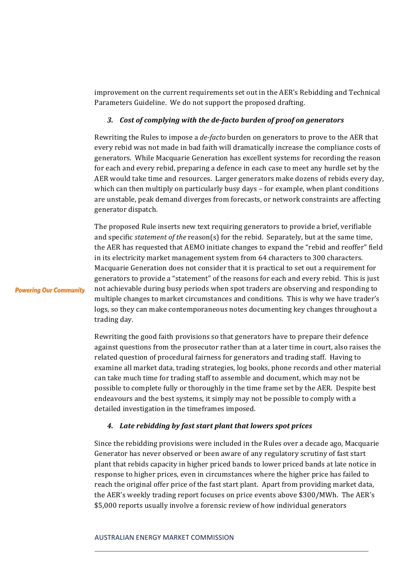improvement on the current requirements set out in the AER's Rebidding and Technical Parameters Guideline. We do not support the proposed drafting.

## 3. Cost of complying with the de-facto burden of proof on generators

Rewriting the Rules to impose a *de-facto* burden on generators to prove to the AER that every rebid was not made in bad faith will dramatically increase the compliance costs of generators. While Macquarie Generation has excellent systems for recording the reason for each and every rebid, preparing a defence in each case to meet any hurdle set by the AER would take time and resources. Larger generators make dozens of rebids every day, which can then multiply on particularly busy days  $-$  for example, when plant conditions are unstable, peak demand diverges from forecasts, or network constraints are affecting generator dispatch.

The proposed Rule inserts new text requiring generators to provide a brief, verifiable and specific *statement of the* reason(s) for the rebid. Separately, but at the same time, the AER has requested that AEMO initiate changes to expand the "rebid and reoffer" field in its electricity market management system from 64 characters to 300 characters. Macquarie Generation does not consider that it is practical to set out a requirement for generators to provide a "statement" of the reasons for each and every rebid. This is just not achievable during busy periods when spot traders are observing and responding to multiple changes to market circumstances and conditions. This is why we have trader's logs, so they can make contemporaneous notes documenting key changes throughout a trading day.

**Powering Our Community** 

Rewriting the good faith provisions so that generators have to prepare their defence against questions from the prosecutor rather than at a later time in court, also raises the related question of procedural fairness for generators and trading staff. Having to examine all market data, trading strategies, log books, phone records and other material can take much time for trading staff to assemble and document, which may not be possible to complete fully or thoroughly in the time frame set by the AER. Despite best endeavours and the best systems, it simply may not be possible to comply with a detailed investigation in the timeframes imposed.

## 4. Late rebidding by fast start plant that lowers spot prices

Since the rebidding provisions were included in the Rules over a decade ago, Macquarie Generator has never observed or been aware of any regulatory scrutiny of fast start plant that rebids capacity in higher priced bands to lower priced bands at late notice in response to higher prices, even in circumstances where the higher price has failed to reach the original offer price of the fast start plant. Apart from providing market data, the AER's weekly trading report focuses on price events above \$300/MWh. The AER's \$5,000 reports usually involve a forensic review of how individual generators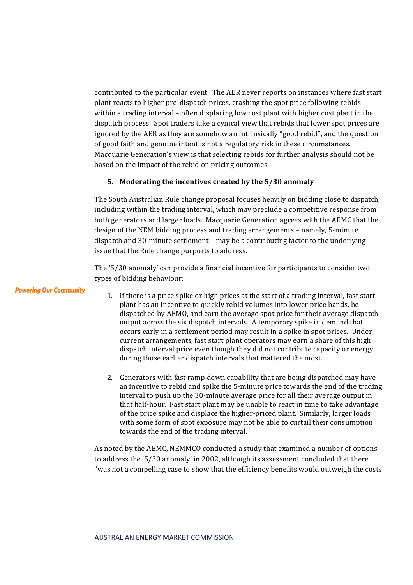contributed to the particular event. The AER never reports on instances where fast start plant reacts to higher pre-dispatch prices, crashing the spot price following rebids within a trading interval – often displacing low cost plant with higher cost plant in the dispatch process. Spot traders take a cynical view that rebids that lower spot prices are ignored by the AER as they are somehow an intrinsically "good rebid", and the question of good faith and genuine intent is not a regulatory risk in these circumstances. Macquarie Generation's view is that selecting rebids for further analysis should not be based on the impact of the rebid on pricing outcomes.

## **5.** Moderating the incentives created by the 5/30 anomaly

The South Australian Rule change proposal focuses heavily on bidding close to dispatch, including within the trading interval, which may preclude a competitive response from both generators and larger loads. Macquarie Generation agrees with the AEMC that the design of the NEM bidding process and trading arrangements – namely, 5-minute dispatch and 30-minute settlement - may be a contributing factor to the underlying issue that the Rule change purports to address.

The '5/30 anomaly' can provide a financial incentive for participants to consider two types of bidding behaviour:

**Powering Our Community** 

- 1. If there is a price spike or high prices at the start of a trading interval, fast start plant has an incentive to quickly rebid volumes into lower price bands, be dispatched by AEMO, and earn the average spot price for their average dispatch output across the six dispatch intervals. A temporary spike in demand that occurs early in a settlement period may result in a spike in spot prices. Under current arrangements, fast start plant operators may earn a share of this high dispatch interval price even though they did not contribute capacity or energy during those earlier dispatch intervals that mattered the most.
- 2. Generators with fast ramp down capability that are being dispatched may have an incentive to rebid and spike the 5-minute price towards the end of the trading interval to push up the  $30$ -minute average price for all their average output in that half-hour. Fast start plant may be unable to react in time to take advantage of the price spike and displace the higher-priced plant. Similarly, larger loads with some form of spot exposure may not be able to curtail their consumption towards the end of the trading interval.

As noted by the AEMC, NEMMCO conducted a study that examined a number of options to address the '5/30 anomaly' in 2002, although its assessment concluded that there "was not a compelling case to show that the efficiency benefits would outweigh the costs